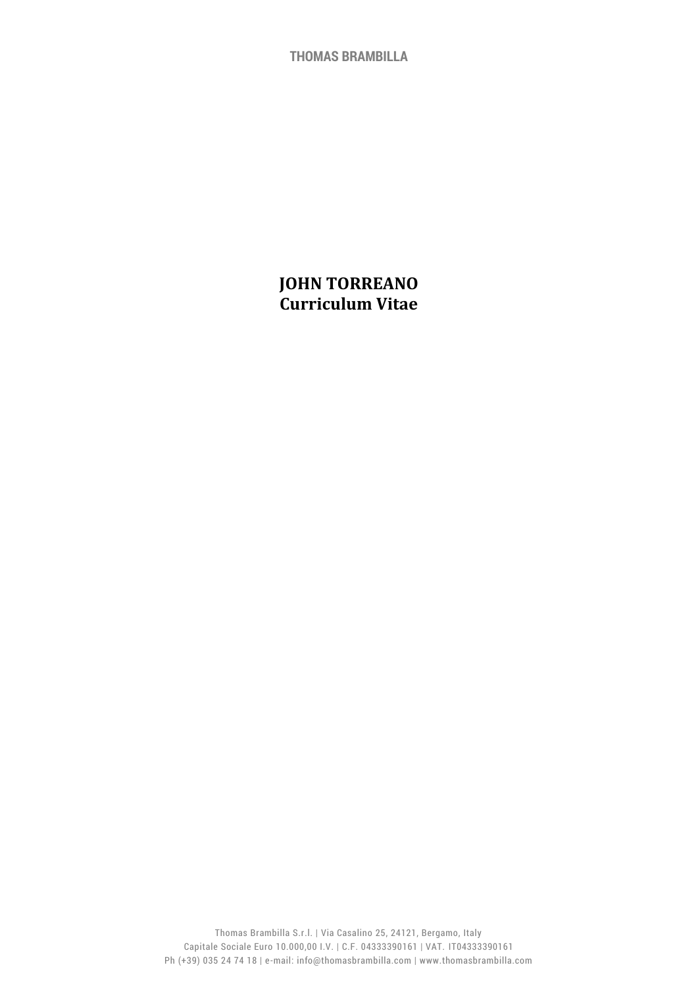**THOMAS BRAMBILLA**

# **JOHN TORREANO Curriculum Vitae**

Thomas Brambilla S.r.l. | Via Casalino 25, 24121, Bergamo, Italy Capitale Sociale Euro 10.000,00 I.V. | C.F. 04333390161 | VAT. IT04333390161 Ph (+39) 035 24 74 18 | e-mail: info@thomasbrambilla.com | www.thomasbrambilla.com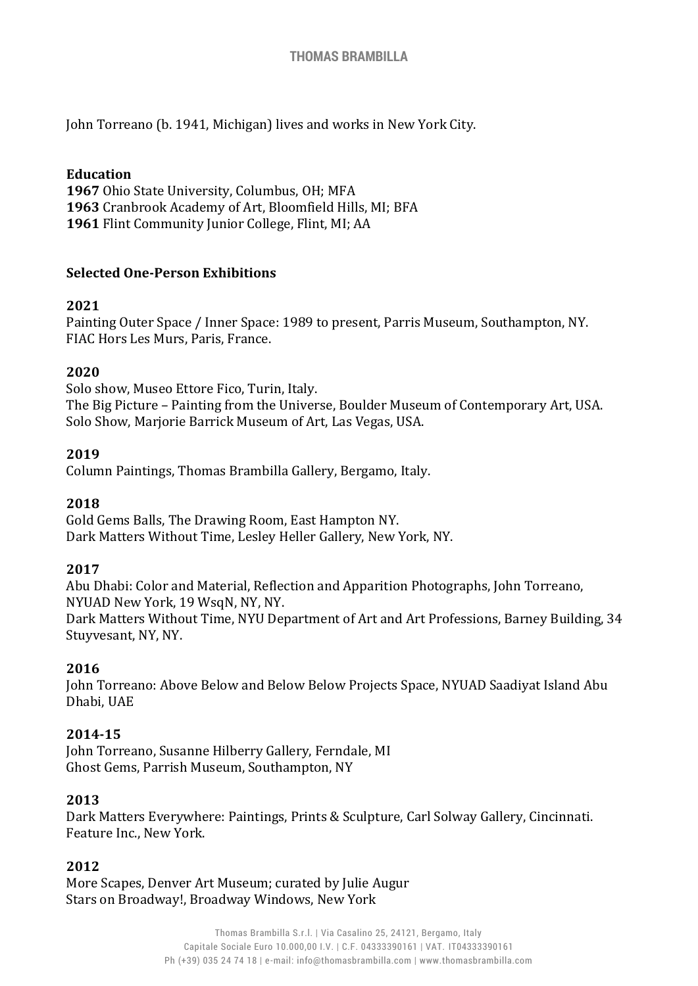John Torreano (b. 1941, Michigan) lives and works in New York City.

#### **Education**

**1967** Ohio State University, Columbus, OH; MFA **1963** Cranbrook Academy of Art, Bloomfield Hills, MI; BFA **1961** Flint Community Junior College, Flint, MI; AA

#### **Selected One-Person Exhibitions**

#### **2021**

Painting Outer Space / Inner Space: 1989 to present, Parris Museum, Southampton, NY. FIAC Hors Les Murs, Paris, France.

#### **2020**

Solo show, Museo Ettore Fico, Turin, Italy. The Big Picture – Painting from the Universe, Boulder Museum of Contemporary Art, USA. Solo Show, Marjorie Barrick Museum of Art, Las Vegas, USA.

#### **2019**

Column Paintings, Thomas Brambilla Gallery, Bergamo, Italy.

#### **2018**

Gold Gems Balls, The Drawing Room, East Hampton NY. Dark Matters Without Time, Lesley Heller Gallery, New York, NY.

### **2017**

Abu Dhabi: Color and Material, Reflection and Apparition Photographs, John Torreano, NYUAD New York, 19 WsqN, NY, NY. Dark Matters Without Time, NYU Department of Art and Art Professions, Barney Building, 34 Stuyvesant, NY, NY.

### **2016**

John Torreano: Above Below and Below Below Projects Space, NYUAD Saadiyat Island Abu Dhabi, UAE

### **2014-15**

John Torreano, Susanne Hilberry Gallery, Ferndale, MI Ghost Gems, Parrish Museum, Southampton, NY

#### **2013**

Dark Matters Everywhere: Paintings, Prints & Sculpture, Carl Solway Gallery, Cincinnati. Feature Inc., New York.

### **2012**

More Scapes, Denver Art Museum; curated by Julie Augur Stars on Broadway!, Broadway Windows, New York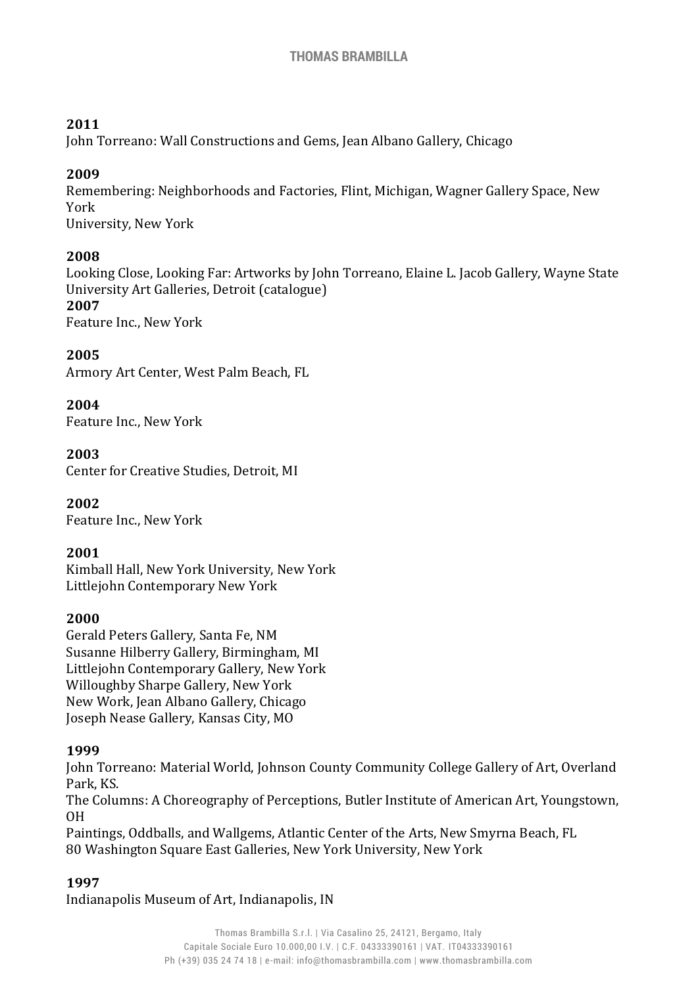### **2011**

John Torreano: Wall Constructions and Gems, Jean Albano Gallery, Chicago

### **2009**

Remembering: Neighborhoods and Factories, Flint, Michigan, Wagner Gallery Space, New York University, New York

### **2008**

Looking Close, Looking Far: Artworks by John Torreano, Elaine L. Jacob Gallery, Wayne State University Art Galleries, Detroit (catalogue) **2007**

Feature Inc., New York

# **2005**

Armory Art Center, West Palm Beach, FL

### **2004**

Feature Inc., New York

### **2003**

Center for Creative Studies, Detroit, MI

**2002** Feature Inc., New York

### **2001**

Kimball Hall, New York University, New York Littlejohn Contemporary New York

### **2000**

Gerald Peters Gallery, Santa Fe, NM Susanne Hilberry Gallery, Birmingham, MI Littlejohn Contemporary Gallery, New York Willoughby Sharpe Gallery, New York New Work, Jean Albano Gallery, Chicago Joseph Nease Gallery, Kansas City, MO

### **1999**

John Torreano: Material World, Johnson County Community College Gallery of Art, Overland Park, KS.

The Columns: A Choreography of Perceptions, Butler Institute of American Art, Youngstown, OH

Paintings, Oddballs, and Wallgems, Atlantic Center of the Arts, New Smyrna Beach, FL 80 Washington Square East Galleries, New York University, New York

### **1997**

Indianapolis Museum of Art, Indianapolis, IN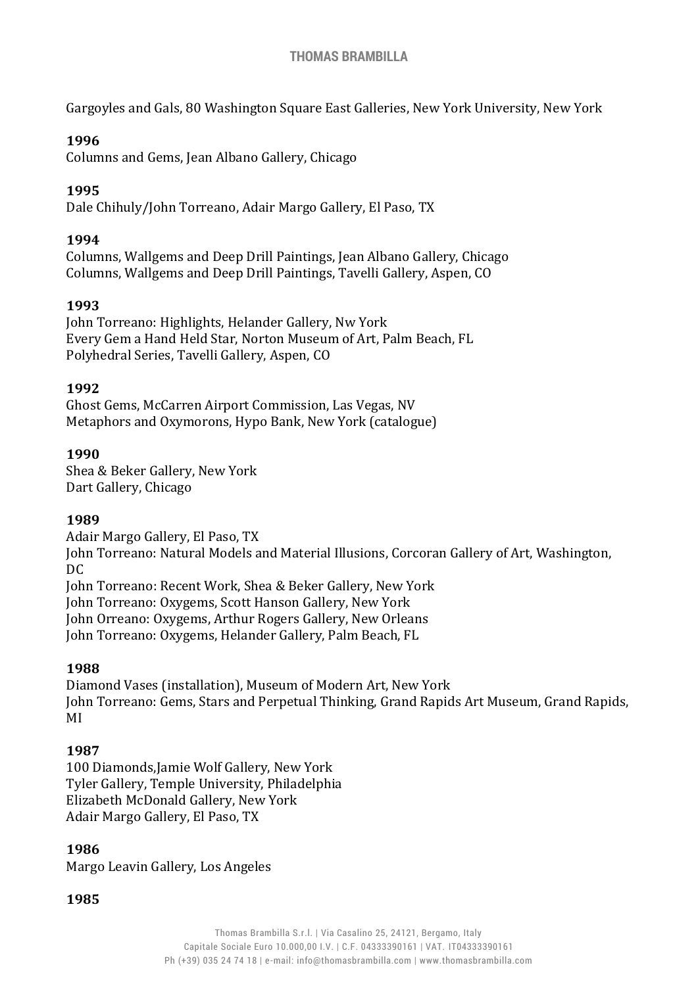Gargoyles and Gals, 80 Washington Square East Galleries, New York University, New York

#### **1996**

Columns and Gems, Jean Albano Gallery, Chicago

### **1995**

Dale Chihuly/John Torreano, Adair Margo Gallery, El Paso, TX

#### **1994**

Columns, Wallgems and Deep Drill Paintings, Jean Albano Gallery, Chicago Columns, Wallgems and Deep Drill Paintings, Tavelli Gallery, Aspen, CO

#### **1993**

John Torreano: Highlights, Helander Gallery, Nw York Every Gem a Hand Held Star, Norton Museum of Art, Palm Beach, FL Polyhedral Series, Tavelli Gallery, Aspen, CO

#### **1992**

Ghost Gems, McCarren Airport Commission, Las Vegas, NV Metaphors and Oxymorons, Hypo Bank, New York (catalogue)

#### **1990**

Shea & Beker Gallery, New York Dart Gallery, Chicago

#### **1989**

Adair Margo Gallery, El Paso, TX

John Torreano: Natural Models and Material Illusions, Corcoran Gallery of Art, Washington, DC

John Torreano: Recent Work, Shea & Beker Gallery, New York

John Torreano: Oxygems, Scott Hanson Gallery, New York

John Orreano: Oxygems, Arthur Rogers Gallery, New Orleans

John Torreano: Oxygems, Helander Gallery, Palm Beach, FL

#### **1988**

Diamond Vases (installation), Museum of Modern Art, New York John Torreano: Gems, Stars and Perpetual Thinking, Grand Rapids Art Museum, Grand Rapids, MI

### **1987**

100 Diamonds,Jamie Wolf Gallery, New York Tyler Gallery, Temple University, Philadelphia Elizabeth McDonald Gallery, New York Adair Margo Gallery, El Paso, TX

#### **1986**

Margo Leavin Gallery, Los Angeles

**1985**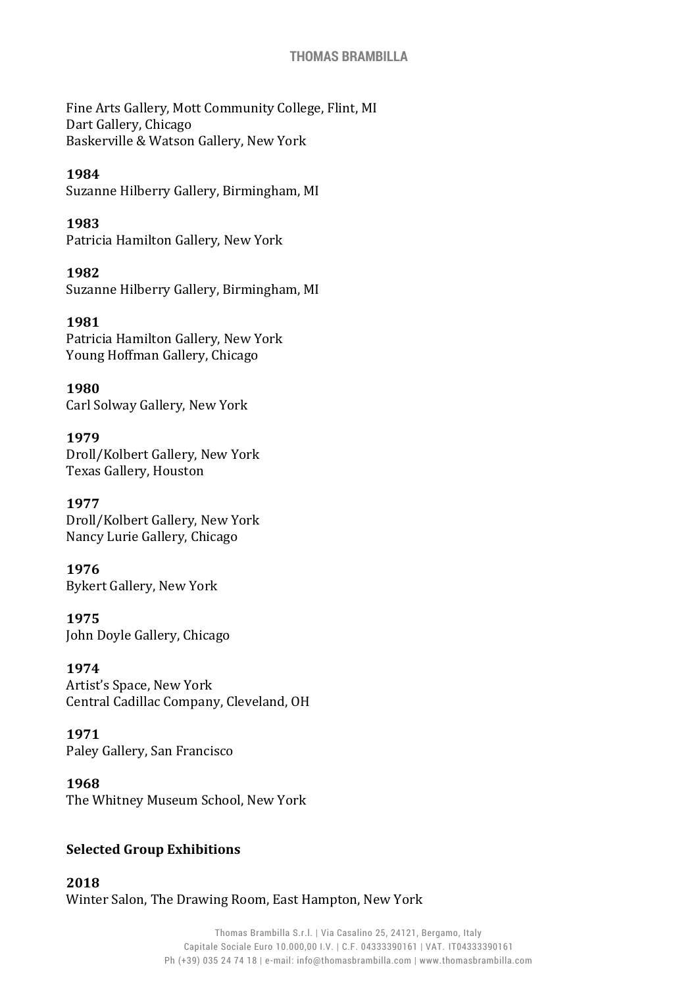#### **THOMAS BRAMBILLA**

Fine Arts Gallery, Mott Community College, Flint, MI Dart Gallery, Chicago Baskerville & Watson Gallery, New York

#### **1984**

Suzanne Hilberry Gallery, Birmingham, MI

**1983**

Patricia Hamilton Gallery, New York

**1982** Suzanne Hilberry Gallery, Birmingham, MI

**1981** Patricia Hamilton Gallery, New York Young Hoffman Gallery, Chicago

**1980** Carl Solway Gallery, New York

#### **1979**

Droll/Kolbert Gallery, New York Texas Gallery, Houston

**1977** Droll/Kolbert Gallery, New York Nancy Lurie Gallery, Chicago

**1976** Bykert Gallery, New York

**1975** John Doyle Gallery, Chicago

#### **1974**

Artist's Space, New York Central Cadillac Company, Cleveland, OH

#### **1971**

Paley Gallery, San Francisco

**1968**

The Whitney Museum School, New York

#### **Selected Group Exhibitions**

**2018** Winter Salon, The Drawing Room, East Hampton, New York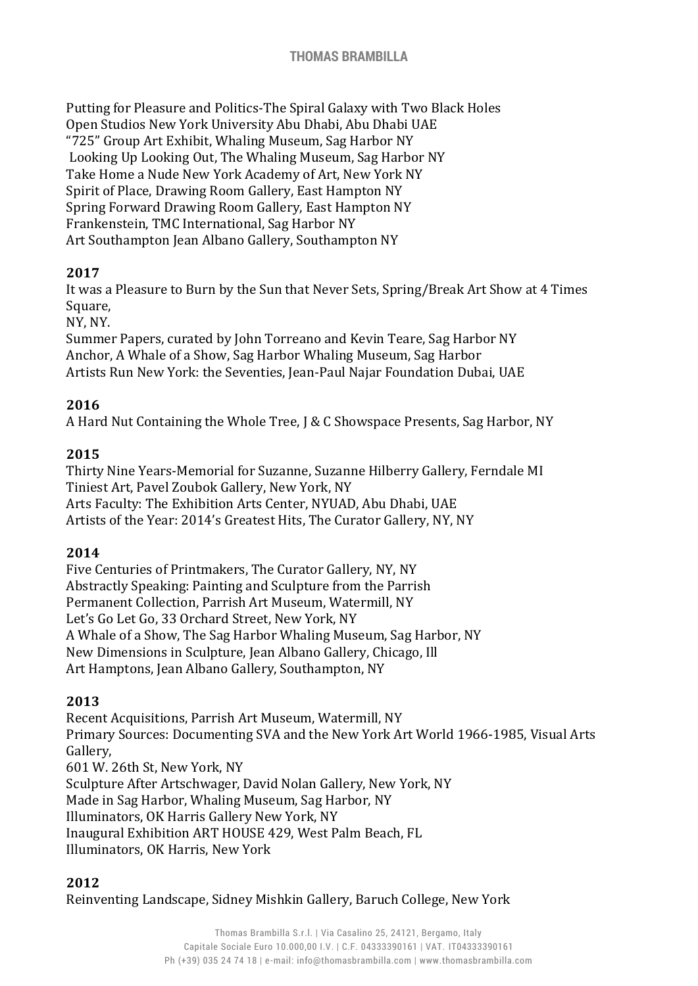### **THOMAS BRAMBILLA**

Putting for Pleasure and Politics-The Spiral Galaxy with Two Black Holes Open Studios New York University Abu Dhabi, Abu Dhabi UAE "725" Group Art Exhibit, Whaling Museum, Sag Harbor NY Looking Up Looking Out, The Whaling Museum, Sag Harbor NY Take Home a Nude New York Academy of Art, New York NY Spirit of Place, Drawing Room Gallery, East Hampton NY Spring Forward Drawing Room Gallery, East Hampton NY Frankenstein, TMC International, Sag Harbor NY Art Southampton Jean Albano Gallery, Southampton NY

#### **2017**

It was a Pleasure to Burn by the Sun that Never Sets, Spring/Break Art Show at 4 Times Square,

NY, NY.

Summer Papers, curated by John Torreano and Kevin Teare, Sag Harbor NY Anchor, A Whale of a Show, Sag Harbor Whaling Museum, Sag Harbor Artists Run New York: the Seventies, Jean-Paul Najar Foundation Dubai, UAE

### **2016**

A Hard Nut Containing the Whole Tree, J & C Showspace Presents, Sag Harbor, NY

### **2015**

Thirty Nine Years-Memorial for Suzanne, Suzanne Hilberry Gallery, Ferndale MI Tiniest Art, Pavel Zoubok Gallery, New York, NY Arts Faculty: The Exhibition Arts Center, NYUAD, Abu Dhabi, UAE Artists of the Year: 2014's Greatest Hits, The Curator Gallery, NY, NY

#### **2014**

Five Centuries of Printmakers, The Curator Gallery, NY, NY Abstractly Speaking: Painting and Sculpture from the Parrish Permanent Collection, Parrish Art Museum, Watermill, NY Let's Go Let Go, 33 Orchard Street, New York, NY A Whale of a Show, The Sag Harbor Whaling Museum, Sag Harbor, NY New Dimensions in Sculpture, Jean Albano Gallery, Chicago, Ill Art Hamptons, Jean Albano Gallery, Southampton, NY

### **2013**

Recent Acquisitions, Parrish Art Museum, Watermill, NY Primary Sources: Documenting SVA and the New York Art World 1966-1985, Visual Arts Gallery, 601 W. 26th St, New York, NY

Sculpture After Artschwager, David Nolan Gallery, New York, NY

Made in Sag Harbor, Whaling Museum, Sag Harbor, NY

Illuminators, OK Harris Gallery New York, NY

Inaugural Exhibition ART HOUSE 429, West Palm Beach, FL

Illuminators, OK Harris, New York

#### **2012**

Reinventing Landscape, Sidney Mishkin Gallery, Baruch College, New York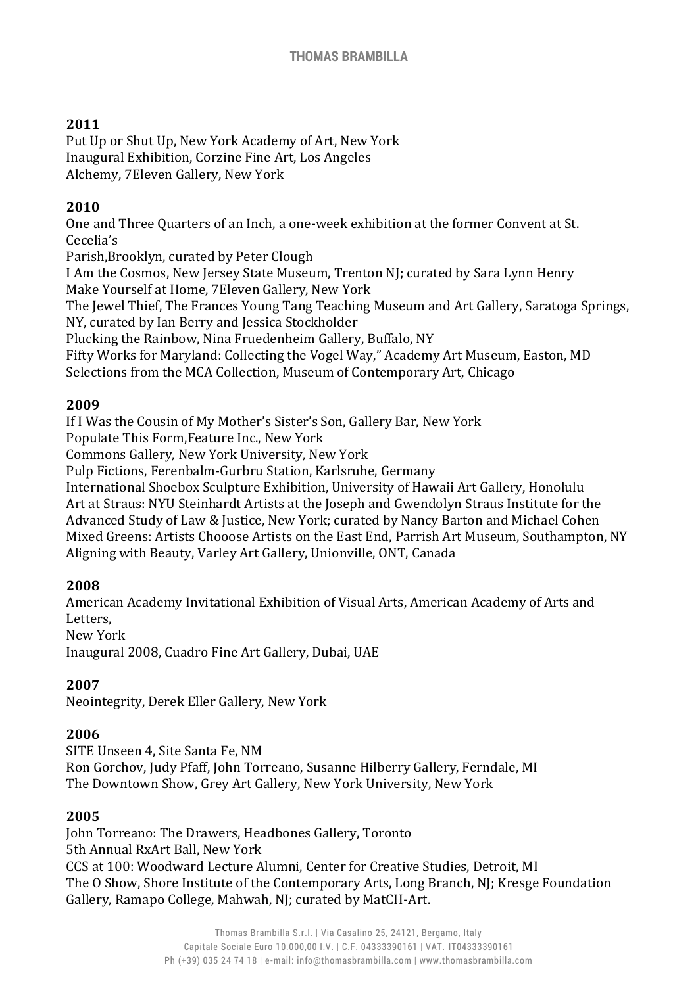# **2011**

Put Up or Shut Up, New York Academy of Art, New York Inaugural Exhibition, Corzine Fine Art, Los Angeles Alchemy, 7Eleven Gallery, New York

# **2010**

One and Three Quarters of an Inch, a one-week exhibition at the former Convent at St. Cecelia's

Parish,Brooklyn, curated by Peter Clough

I Am the Cosmos, New Jersey State Museum, Trenton NJ; curated by Sara Lynn Henry Make Yourself at Home, 7Eleven Gallery, New York

The Jewel Thief, The Frances Young Tang Teaching Museum and Art Gallery, Saratoga Springs, NY, curated by Ian Berry and Jessica Stockholder

Plucking the Rainbow, Nina Fruedenheim Gallery, Buffalo, NY

Fifty Works for Maryland: Collecting the Vogel Way," Academy Art Museum, Easton, MD Selections from the MCA Collection, Museum of Contemporary Art, Chicago

### **2009**

If I Was the Cousin of My Mother's Sister's Son, Gallery Bar, New York

Populate This Form,Feature Inc., New York

Commons Gallery, New York University, New York

Pulp Fictions, Ferenbalm-Gurbru Station, Karlsruhe, Germany

International Shoebox Sculpture Exhibition, University of Hawaii Art Gallery, Honolulu Art at Straus: NYU Steinhardt Artists at the Joseph and Gwendolyn Straus Institute for the Advanced Study of Law & Justice, New York; curated by Nancy Barton and Michael Cohen Mixed Greens: Artists Chooose Artists on the East End, Parrish Art Museum, Southampton, NY Aligning with Beauty, Varley Art Gallery, Unionville, ONT, Canada

### **2008**

American Academy Invitational Exhibition of Visual Arts, American Academy of Arts and Letters,

New York

Inaugural 2008, Cuadro Fine Art Gallery, Dubai, UAE

### **2007**

Neointegrity, Derek Eller Gallery, New York

### **2006**

SITE Unseen 4, Site Santa Fe, NM Ron Gorchov, Judy Pfaff, John Torreano, Susanne Hilberry Gallery, Ferndale, MI The Downtown Show, Grey Art Gallery, New York University, New York

### **2005**

John Torreano: The Drawers, Headbones Gallery, Toronto 5th Annual RxArt Ball, New York CCS at 100: Woodward Lecture Alumni, Center for Creative Studies, Detroit, MI The O Show, Shore Institute of the Contemporary Arts, Long Branch, NJ; Kresge Foundation Gallery, Ramapo College, Mahwah, NJ; curated by MatCH-Art.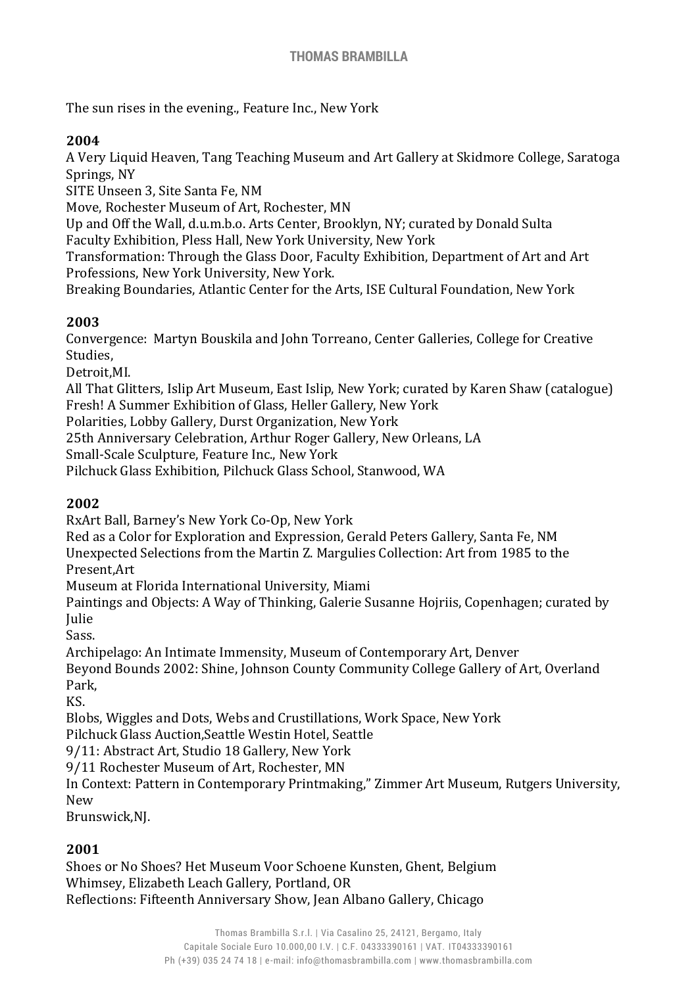The sun rises in the evening., Feature Inc., New York

### **2004**

A Very Liquid Heaven, Tang Teaching Museum and Art Gallery at Skidmore College, Saratoga Springs, NY

SITE Unseen 3, Site Santa Fe, NM

Move, Rochester Museum of Art, Rochester, MN

Up and Off the Wall, d.u.m.b.o. Arts Center, Brooklyn, NY; curated by Donald Sulta

Faculty Exhibition, Pless Hall, New York University, New York

Transformation: Through the Glass Door, Faculty Exhibition, Department of Art and Art Professions, New York University, New York.

Breaking Boundaries, Atlantic Center for the Arts, ISE Cultural Foundation, New York

### **2003**

Convergence: Martyn Bouskila and John Torreano, Center Galleries, College for Creative Studies,

Detroit,MI.

All That Glitters, Islip Art Museum, East Islip, New York; curated by Karen Shaw (catalogue) Fresh! A Summer Exhibition of Glass, Heller Gallery, New York

Polarities, Lobby Gallery, Durst Organization, New York

25th Anniversary Celebration, Arthur Roger Gallery, New Orleans, LA

Small-Scale Sculpture, Feature Inc., New York

Pilchuck Glass Exhibition, Pilchuck Glass School, Stanwood, WA

### **2002**

RxArt Ball, Barney's New York Co-Op, New York

Red as a Color for Exploration and Expression, Gerald Peters Gallery, Santa Fe, NM

Unexpected Selections from the Martin Z. Margulies Collection: Art from 1985 to the Present,Art

Museum at Florida International University, Miami

Paintings and Objects: A Way of Thinking, Galerie Susanne Hojriis, Copenhagen; curated by Julie

Sass.

Archipelago: An Intimate Immensity, Museum of Contemporary Art, Denver

Beyond Bounds 2002: Shine, Johnson County Community College Gallery of Art, Overland Park,

KS.

Blobs, Wiggles and Dots, Webs and Crustillations, Work Space, New York

Pilchuck Glass Auction,Seattle Westin Hotel, Seattle

9/11: Abstract Art, Studio 18 Gallery, New York

9/11 Rochester Museum of Art, Rochester, MN

In Context: Pattern in Contemporary Printmaking," Zimmer Art Museum, Rutgers University, New

Brunswick,NJ.

# **2001**

Shoes or No Shoes? Het Museum Voor Schoene Kunsten, Ghent, Belgium Whimsey, Elizabeth Leach Gallery, Portland, OR Reflections: Fifteenth Anniversary Show, Jean Albano Gallery, Chicago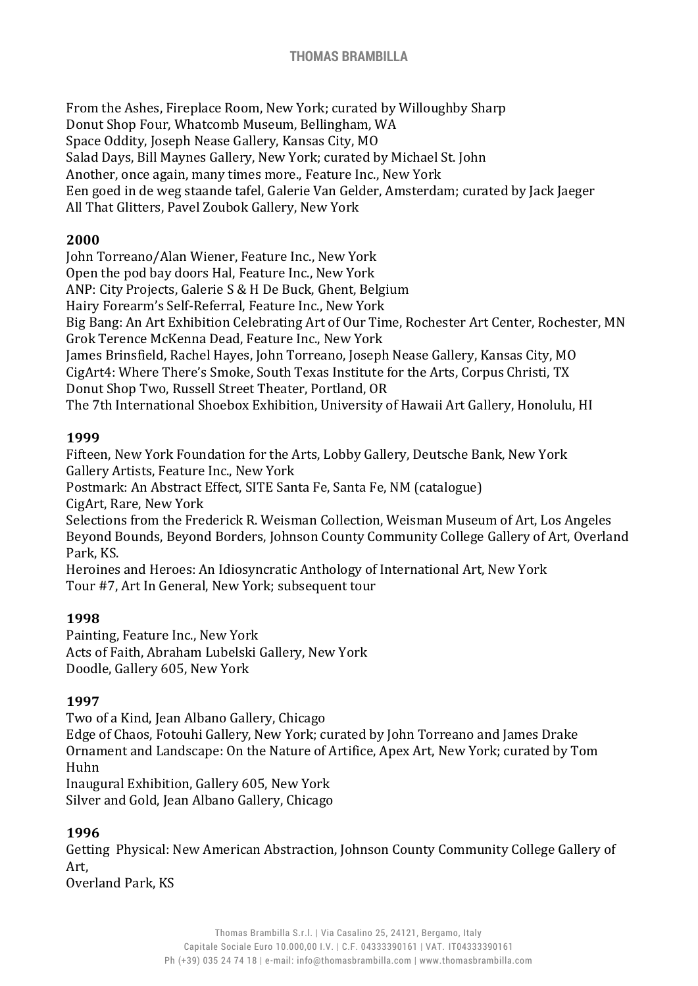From the Ashes, Fireplace Room, New York; curated by Willoughby Sharp Donut Shop Four, Whatcomb Museum, Bellingham, WA Space Oddity, Joseph Nease Gallery, Kansas City, MO Salad Days, Bill Maynes Gallery, New York; curated by Michael St. John Another, once again, many times more., Feature Inc., New York Een goed in de weg staande tafel, Galerie Van Gelder, Amsterdam; curated by Jack Jaeger All That Glitters, Pavel Zoubok Gallery, New York

### **2000**

John Torreano/Alan Wiener, Feature Inc., New York Open the pod bay doors Hal, Feature Inc., New York ANP: City Projects, Galerie S & H De Buck, Ghent, Belgium Hairy Forearm's Self-Referral, Feature Inc., New York Big Bang: An Art Exhibition Celebrating Art of Our Time, Rochester Art Center, Rochester, MN Grok Terence McKenna Dead, Feature Inc., New York James Brinsfield, Rachel Hayes, John Torreano, Joseph Nease Gallery, Kansas City, MO CigArt4: Where There's Smoke, South Texas Institute for the Arts, Corpus Christi, TX Donut Shop Two, Russell Street Theater, Portland, OR The 7th International Shoebox Exhibition, University of Hawaii Art Gallery, Honolulu, HI

#### **1999**

Fifteen, New York Foundation for the Arts, Lobby Gallery, Deutsche Bank, New York Gallery Artists, Feature Inc., New York Postmark: An Abstract Effect, SITE Santa Fe, Santa Fe, NM (catalogue) CigArt, Rare, New York Selections from the Frederick R. Weisman Collection, Weisman Museum of Art, Los Angeles

Beyond Bounds, Beyond Borders, Johnson County Community College Gallery of Art, Overland Park, KS.

Heroines and Heroes: An Idiosyncratic Anthology of International Art, New York Tour #7, Art In General, New York; subsequent tour

### **1998**

Painting, Feature Inc., New York Acts of Faith, Abraham Lubelski Gallery, New York Doodle, Gallery 605, New York

### **1997**

Two of a Kind, Jean Albano Gallery, Chicago Edge of Chaos, Fotouhi Gallery, New York; curated by John Torreano and James Drake Ornament and Landscape: On the Nature of Artifice, Apex Art, New York; curated by Tom Huhn Inaugural Exhibition, Gallery 605, New York Silver and Gold, Jean Albano Gallery, Chicago

#### **1996**

Getting Physical: New American Abstraction, Johnson County Community College Gallery of Art,

Overland Park, KS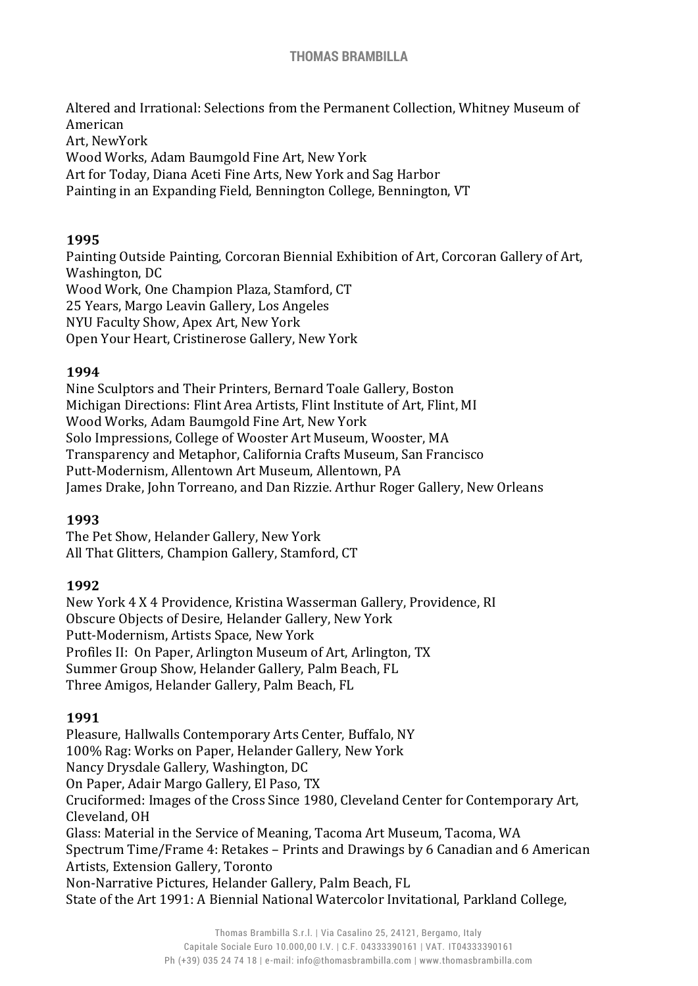Altered and Irrational: Selections from the Permanent Collection, Whitney Museum of American Art, NewYork Wood Works, Adam Baumgold Fine Art, New York Art for Today, Diana Aceti Fine Arts, New York and Sag Harbor Painting in an Expanding Field, Bennington College, Bennington, VT

### **1995**

Painting Outside Painting, Corcoran Biennial Exhibition of Art, Corcoran Gallery of Art, Washington, DC Wood Work, One Champion Plaza, Stamford, CT 25 Years, Margo Leavin Gallery, Los Angeles NYU Faculty Show, Apex Art, New York Open Your Heart, Cristinerose Gallery, New York

### **1994**

Nine Sculptors and Their Printers, Bernard Toale Gallery, Boston Michigan Directions: Flint Area Artists, Flint Institute of Art, Flint, MI Wood Works, Adam Baumgold Fine Art, New York Solo Impressions, College of Wooster Art Museum, Wooster, MA Transparency and Metaphor, California Crafts Museum, San Francisco Putt-Modernism, Allentown Art Museum, Allentown, PA James Drake, John Torreano, and Dan Rizzie. Arthur Roger Gallery, New Orleans

### **1993**

The Pet Show, Helander Gallery, New York All That Glitters, Champion Gallery, Stamford, CT

#### **1992**

New York 4 X 4 Providence, Kristina Wasserman Gallery, Providence, RI Obscure Objects of Desire, Helander Gallery, New York Putt-Modernism, Artists Space, New York Profiles II: On Paper, Arlington Museum of Art, Arlington, TX Summer Group Show, Helander Gallery, Palm Beach, FL Three Amigos, Helander Gallery, Palm Beach, FL

#### **1991**

Pleasure, Hallwalls Contemporary Arts Center, Buffalo, NY 100% Rag: Works on Paper, Helander Gallery, New York Nancy Drysdale Gallery, Washington, DC On Paper, Adair Margo Gallery, El Paso, TX Cruciformed: Images of the Cross Since 1980, Cleveland Center for Contemporary Art, Cleveland, OH Glass: Material in the Service of Meaning, Tacoma Art Museum, Tacoma, WA Spectrum Time/Frame 4: Retakes – Prints and Drawings by 6 Canadian and 6 American Artists, Extension Gallery, Toronto Non-Narrative Pictures, Helander Gallery, Palm Beach, FL State of the Art 1991: A Biennial National Watercolor Invitational, Parkland College,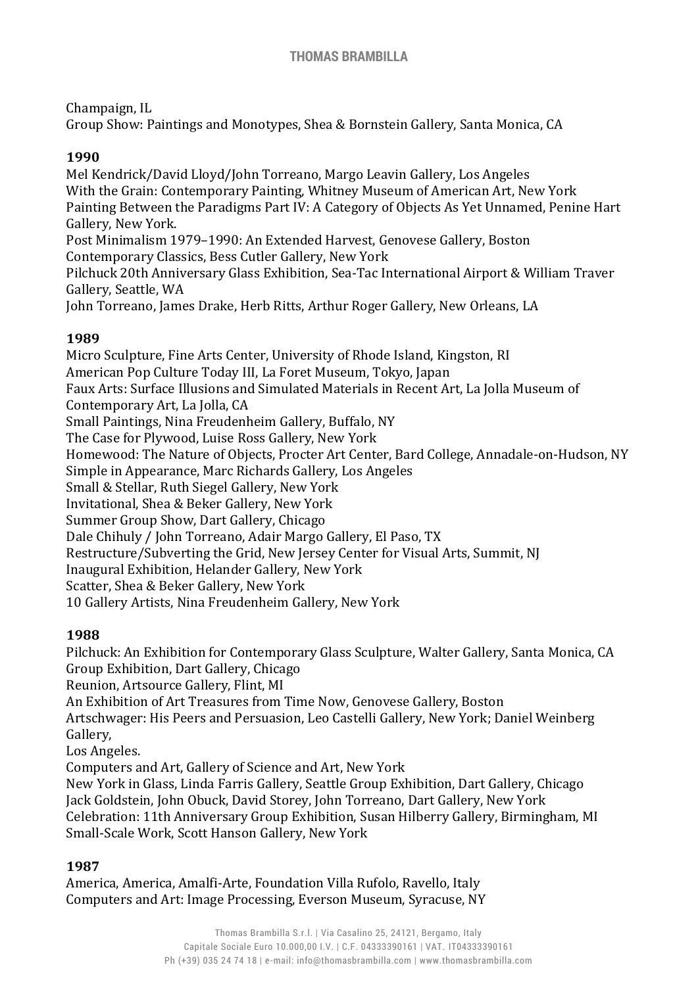Champaign, IL

Group Show: Paintings and Monotypes, Shea & Bornstein Gallery, Santa Monica, CA

### **1990**

Mel Kendrick/David Lloyd/John Torreano, Margo Leavin Gallery, Los Angeles With the Grain: Contemporary Painting, Whitney Museum of American Art, New York Painting Between the Paradigms Part IV: A Category of Objects As Yet Unnamed, Penine Hart Gallery, New York. Post Minimalism 1979–1990: An Extended Harvest, Genovese Gallery, Boston Contemporary Classics, Bess Cutler Gallery, New York Pilchuck 20th Anniversary Glass Exhibition, Sea-Tac International Airport & William Traver Gallery, Seattle, WA John Torreano, James Drake, Herb Ritts, Arthur Roger Gallery, New Orleans, LA

#### **1989**

Micro Sculpture, Fine Arts Center, University of Rhode Island, Kingston, RI American Pop Culture Today III, La Foret Museum, Tokyo, Japan Faux Arts: Surface Illusions and Simulated Materials in Recent Art, La Jolla Museum of Contemporary Art, La Jolla, CA Small Paintings, Nina Freudenheim Gallery, Buffalo, NY The Case for Plywood, Luise Ross Gallery, New York Homewood: The Nature of Objects, Procter Art Center, Bard College, Annadale-on-Hudson, NY Simple in Appearance, Marc Richards Gallery, Los Angeles Small & Stellar, Ruth Siegel Gallery, New York Invitational, Shea & Beker Gallery, New York Summer Group Show, Dart Gallery, Chicago Dale Chihuly / John Torreano, Adair Margo Gallery, El Paso, TX Restructure/Subverting the Grid, New Jersey Center for Visual Arts, Summit, NJ Inaugural Exhibition, Helander Gallery, New York Scatter, Shea & Beker Gallery, New York 10 Gallery Artists, Nina Freudenheim Gallery, New York

### **1988**

Pilchuck: An Exhibition for Contemporary Glass Sculpture, Walter Gallery, Santa Monica, CA Group Exhibition, Dart Gallery, Chicago Reunion, Artsource Gallery, Flint, MI An Exhibition of Art Treasures from Time Now, Genovese Gallery, Boston Artschwager: His Peers and Persuasion, Leo Castelli Gallery, New York; Daniel Weinberg

Gallery,

Los Angeles.

Computers and Art, Gallery of Science and Art, New York

New York in Glass, Linda Farris Gallery, Seattle Group Exhibition, Dart Gallery, Chicago Jack Goldstein, John Obuck, David Storey, John Torreano, Dart Gallery, New York Celebration: 11th Anniversary Group Exhibition, Susan Hilberry Gallery, Birmingham, MI Small-Scale Work, Scott Hanson Gallery, New York

### **1987**

America, America, Amalfi-Arte, Foundation Villa Rufolo, Ravello, Italy Computers and Art: Image Processing, Everson Museum, Syracuse, NY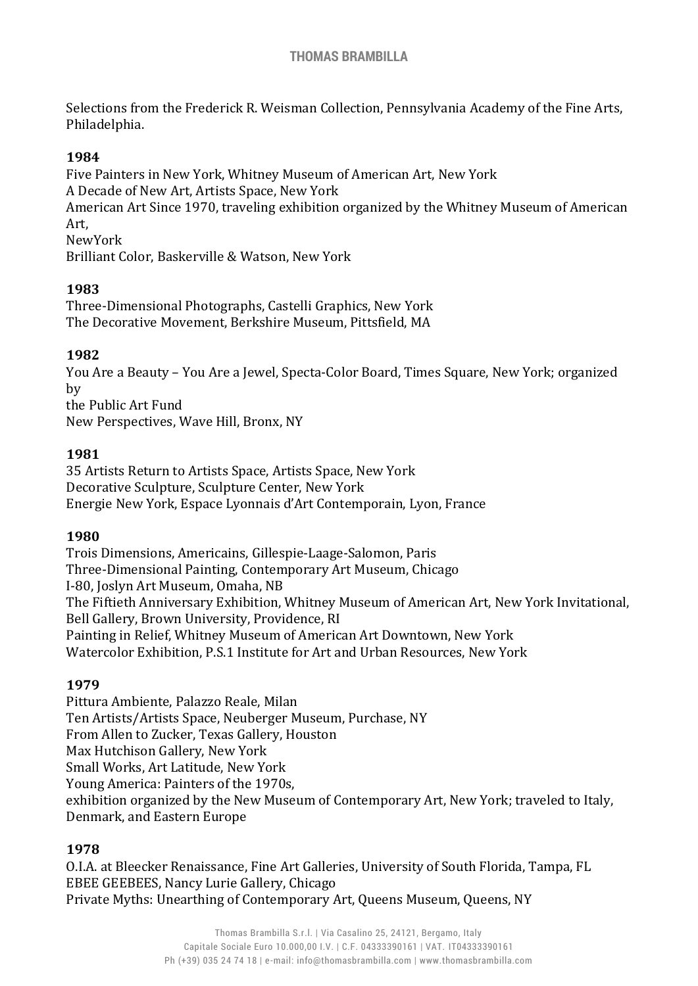Selections from the Frederick R. Weisman Collection, Pennsylvania Academy of the Fine Arts, Philadelphia.

### **1984**

Five Painters in New York, Whitney Museum of American Art, New York A Decade of New Art, Artists Space, New York American Art Since 1970, traveling exhibition organized by the Whitney Museum of American Art, NewYork Brilliant Color, Baskerville & Watson, New York

### **1983**

Three-Dimensional Photographs, Castelli Graphics, New York The Decorative Movement, Berkshire Museum, Pittsfield, MA

### **1982**

You Are a Beauty – You Are a Jewel, Specta-Color Board, Times Square, New York; organized by the Public Art Fund

New Perspectives, Wave Hill, Bronx, NY

### **1981**

35 Artists Return to Artists Space, Artists Space, New York Decorative Sculpture, Sculpture Center, New York Energie New York, Espace Lyonnais d'Art Contemporain, Lyon, France

### **1980**

Trois Dimensions, Americains, Gillespie-Laage-Salomon, Paris Three-Dimensional Painting, Contemporary Art Museum, Chicago I-80, Joslyn Art Museum, Omaha, NB The Fiftieth Anniversary Exhibition, Whitney Museum of American Art, New York Invitational, Bell Gallery, Brown University, Providence, RI Painting in Relief, Whitney Museum of American Art Downtown, New York Watercolor Exhibition, P.S.1 Institute for Art and Urban Resources, New York

### **1979**

Pittura Ambiente, Palazzo Reale, Milan Ten Artists/Artists Space, Neuberger Museum, Purchase, NY From Allen to Zucker, Texas Gallery, Houston Max Hutchison Gallery, New York Small Works, Art Latitude, New York Young America: Painters of the 1970s, exhibition organized by the New Museum of Contemporary Art, New York; traveled to Italy, Denmark, and Eastern Europe

### **1978**

O.I.A. at Bleecker Renaissance, Fine Art Galleries, University of South Florida, Tampa, FL EBEE GEEBEES, Nancy Lurie Gallery, Chicago Private Myths: Unearthing of Contemporary Art, Queens Museum, Queens, NY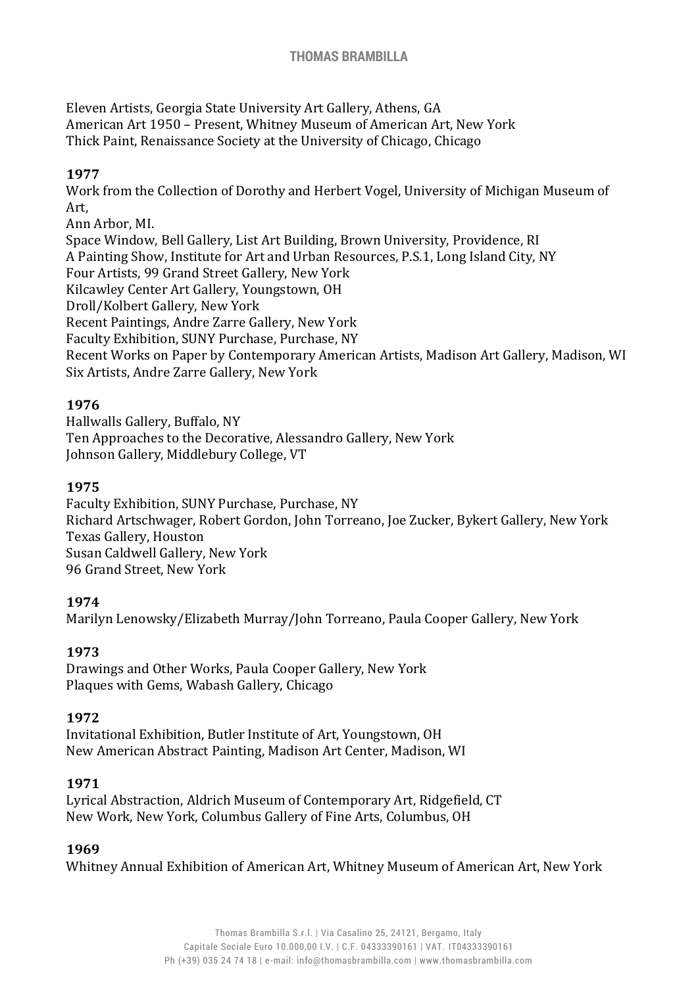Eleven Artists, Georgia State University Art Gallery, Athens, GA American Art 1950 – Present, Whitney Museum of American Art, New York Thick Paint, Renaissance Society at the University of Chicago, Chicago

### **1977**

Work from the Collection of Dorothy and Herbert Vogel, University of Michigan Museum of Art,

Ann Arbor, MI.

Space Window, Bell Gallery, List Art Building, Brown University, Providence, RI A Painting Show, Institute for Art and Urban Resources, P.S.1, Long Island City, NY Four Artists, 99 Grand Street Gallery, New York Kilcawley Center Art Gallery, Youngstown, OH Droll/Kolbert Gallery, New York Recent Paintings, Andre Zarre Gallery, New York Faculty Exhibition, SUNY Purchase, Purchase, NY Recent Works on Paper by Contemporary American Artists, Madison Art Gallery, Madison, WI Six Artists, Andre Zarre Gallery, New York

# **1976**

Hallwalls Gallery, Buffalo, NY Ten Approaches to the Decorative, Alessandro Gallery, New York Johnson Gallery, Middlebury College, VT

### **1975**

Faculty Exhibition, SUNY Purchase, Purchase, NY Richard Artschwager, Robert Gordon, John Torreano, Joe Zucker, Bykert Gallery, New York Texas Gallery, Houston Susan Caldwell Gallery, New York 96 Grand Street, New York

### **1974**

Marilyn Lenowsky/Elizabeth Murray/John Torreano, Paula Cooper Gallery, New York

### **1973**

Drawings and Other Works, Paula Cooper Gallery, New York Plaques with Gems, Wabash Gallery, Chicago

### **1972**

Invitational Exhibition, Butler Institute of Art, Youngstown, OH New American Abstract Painting, Madison Art Center, Madison, WI

### **1971**

Lyrical Abstraction, Aldrich Museum of Contemporary Art, Ridgefield, CT New Work, New York, Columbus Gallery of Fine Arts, Columbus, OH

#### **1969**

Whitney Annual Exhibition of American Art, Whitney Museum of American Art, New York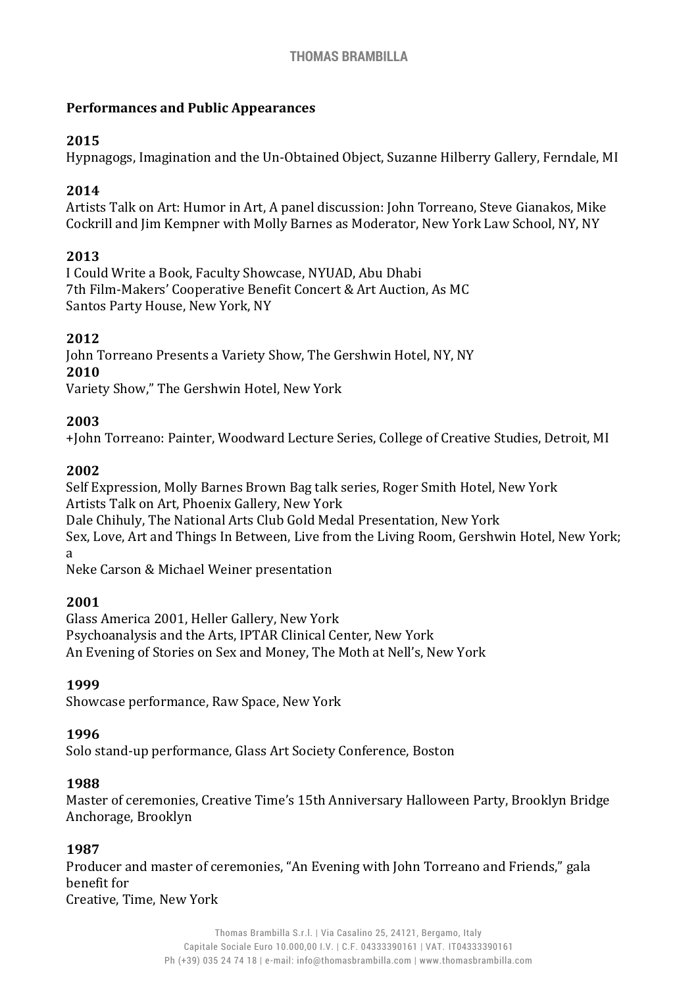### **Performances and Public Appearances**

# **2015**

Hypnagogs, Imagination and the Un-Obtained Object, Suzanne Hilberry Gallery, Ferndale, MI

# **2014**

Artists Talk on Art: Humor in Art, A panel discussion: John Torreano, Steve Gianakos, Mike Cockrill and Jim Kempner with Molly Barnes as Moderator, New York Law School, NY, NY

# **2013**

I Could Write a Book, Faculty Showcase, NYUAD, Abu Dhabi 7th Film-Makers' Cooperative Benefit Concert & Art Auction, As MC Santos Party House, New York, NY

# **2012**

John Torreano Presents a Variety Show, The Gershwin Hotel, NY, NY **2010**

Variety Show," The Gershwin Hotel, New York

### **2003**

+John Torreano: Painter, Woodward Lecture Series, College of Creative Studies, Detroit, MI

# **2002**

Self Expression, Molly Barnes Brown Bag talk series, Roger Smith Hotel, New York Artists Talk on Art, Phoenix Gallery, New York Dale Chihuly, The National Arts Club Gold Medal Presentation, New York Sex, Love, Art and Things In Between, Live from the Living Room, Gershwin Hotel, New York; a Neke Carson & Michael Weiner presentation

**2001**

Glass America 2001, Heller Gallery, New York Psychoanalysis and the Arts, IPTAR Clinical Center, New York An Evening of Stories on Sex and Money, The Moth at Nell's, New York

# **1999**

Showcase performance, Raw Space, New York

### **1996**

Solo stand-up performance, Glass Art Society Conference, Boston

### **1988**

Master of ceremonies, Creative Time's 15th Anniversary Halloween Party, Brooklyn Bridge Anchorage, Brooklyn

### **1987**

Producer and master of ceremonies, "An Evening with John Torreano and Friends," gala benefit for Creative, Time, New York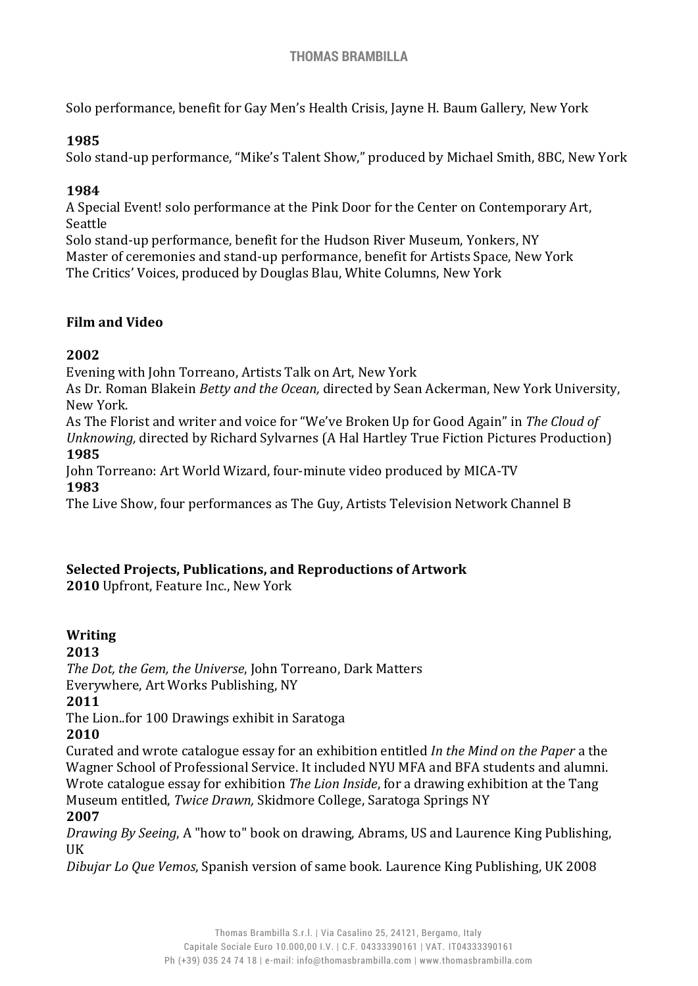Solo performance, benefit for Gay Men's Health Crisis, Jayne H. Baum Gallery, New York

### **1985**

Solo stand-up performance, "Mike's Talent Show," produced by Michael Smith, 8BC, New York

# **1984**

A Special Event! solo performance at the Pink Door for the Center on Contemporary Art, Seattle

Solo stand-up performance, benefit for the Hudson River Museum, Yonkers, NY Master of ceremonies and stand-up performance, benefit for Artists Space, New York The Critics' Voices, produced by Douglas Blau, White Columns, New York

### **Film and Video**

# **2002**

Evening with John Torreano, Artists Talk on Art, New York

As Dr. Roman Blakein *Betty and the Ocean,* directed by Sean Ackerman, New York University, New York.

As The Florist and writer and voice for "We've Broken Up for Good Again" in *The Cloud of Unknowing,* directed by Richard Sylvarnes (A Hal Hartley True Fiction Pictures Production) **1985**

John Torreano: Art World Wizard, four-minute video produced by MICA-TV **1983**

The Live Show, four performances as The Guy, Artists Television Network Channel B

### **Selected Projects, Publications, and Reproductions of Artwork**

**2010** Upfront, Feature Inc., New York

# **Writing**

**2013**

*The Dot, the Gem, the Universe*, John Torreano, Dark Matters

Everywhere, Art Works Publishing, NY

### **2011**

The Lion..for 100 Drawings exhibit in Saratoga

### **2010**

Curated and wrote catalogue essay for an exhibition entitled *In the Mind on the Paper* a the Wagner School of Professional Service. It included NYU MFA and BFA students and alumni. Wrote catalogue essay for exhibition *The Lion Inside*, for a drawing exhibition at the Tang Museum entitled, *Twice Drawn,* Skidmore College, Saratoga Springs NY

# **2007**

*Drawing By Seeing*, A "how to" book on drawing, Abrams, US and Laurence King Publishing, UK

*Dibujar Lo Que Vemos*, Spanish version of same book*.* Laurence King Publishing, UK 2008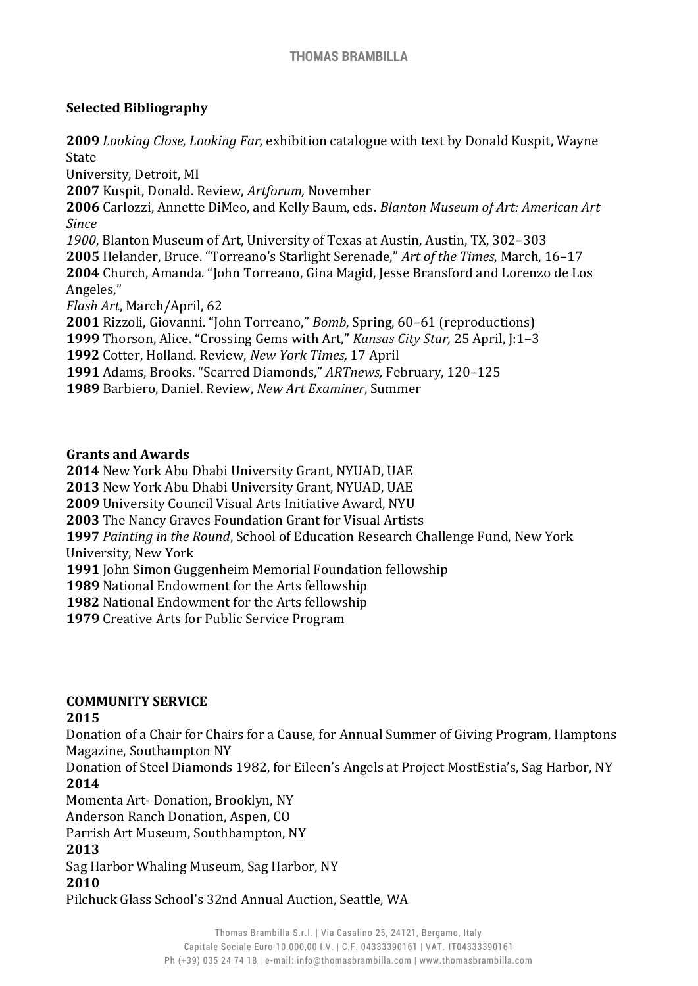### **Selected Bibliography**

*Looking Close, Looking Far,* exhibition catalogue with text by Donald Kuspit, Wayne State University, Detroit, MI Kuspit, Donald. Review, *Artforum,* November Carlozzi, Annette DiMeo, and Kelly Baum, eds. *Blanton Museum of Art: American Art Since* , Blanton Museum of Art, University of Texas at Austin, Austin, TX, 302–303 Helander, Bruce. "Torreano's Starlight Serenade," *Art of the Times*, March, 16–17 Church, Amanda. "John Torreano, Gina Magid, Jesse Bransford and Lorenzo de Los Angeles," *Flash Art*, March/April, 62 Rizzoli, Giovanni. "John Torreano," *Bomb*, Spring, 60–61 (reproductions) Thorson, Alice. "Crossing Gems with Art," *Kansas City Star,* 25 April, J:1–3 Cotter, Holland. Review, *New York Times,* 17 April Adams, Brooks. "Scarred Diamonds," *ARTnews,* February, 120–125 Barbiero, Daniel. Review, *New Art Examiner*, Summer

#### **Grants and Awards**

 New York Abu Dhabi University Grant, NYUAD, UAE New York Abu Dhabi University Grant, NYUAD, UAE University Council Visual Arts Initiative Award, NYU The Nancy Graves Foundation Grant for Visual Artists *Painting in the Round*, School of Education Research Challenge Fund, New York University, New York John Simon Guggenheim Memorial Foundation fellowship National Endowment for the Arts fellowship National Endowment for the Arts fellowship Creative Arts for Public Service Program

### **COMMUNITY SERVICE**

### **2015**

Donation of a Chair for Chairs for a Cause, for Annual Summer of Giving Program, Hamptons Magazine, Southampton NY

Donation of Steel Diamonds 1982, for Eileen's Angels at Project MostEstia's, Sag Harbor, NY **2014**

Momenta Art- Donation, Brooklyn, NY

Anderson Ranch Donation, Aspen, CO

Parrish Art Museum, Southhampton, NY

### **2013**

Sag Harbor Whaling Museum, Sag Harbor, NY

### **2010**

Pilchuck Glass School's 32nd Annual Auction, Seattle, WA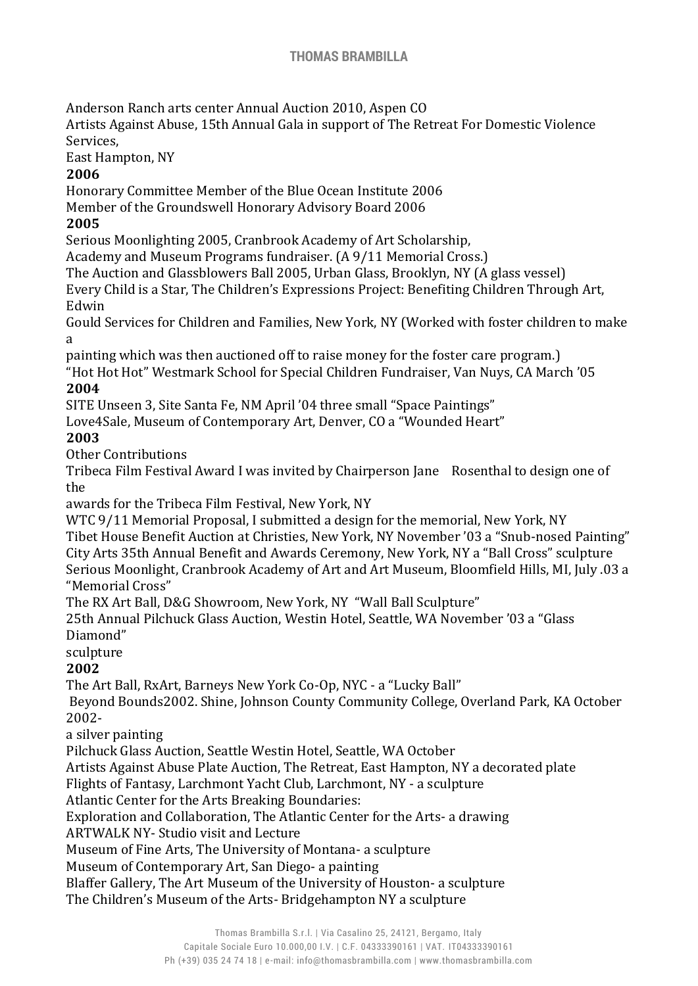Anderson Ranch arts center Annual Auction 2010, Aspen CO

Artists Against Abuse, 15th Annual Gala in support of The Retreat For Domestic Violence Services,

East Hampton, NY

# **2006**

Honorary Committee Member of the Blue Ocean Institute 2006

Member of the Groundswell Honorary Advisory Board 2006

# **2005**

Serious Moonlighting 2005, Cranbrook Academy of Art Scholarship,

Academy and Museum Programs fundraiser. (A 9/11 Memorial Cross.)

The Auction and Glassblowers Ball 2005, Urban Glass, Brooklyn, NY (A glass vessel)

Every Child is a Star, The Children's Expressions Project: Benefiting Children Through Art, Edwin

Gould Services for Children and Families, New York, NY (Worked with foster children to make a

painting which was then auctioned off to raise money for the foster care program.)

"Hot Hot Hot" Westmark School for Special Children Fundraiser, Van Nuys, CA March '05 **2004**

SITE Unseen 3, Site Santa Fe, NM April '04 three small "Space Paintings"

Love4Sale, Museum of Contemporary Art, Denver, CO a "Wounded Heart"

# **2003**

Other Contributions

Tribeca Film Festival Award I was invited by Chairperson Jane Rosenthal to design one of the

awards for the Tribeca Film Festival, New York, NY

WTC 9/11 Memorial Proposal, I submitted a design for the memorial, New York, NY Tibet House Benefit Auction at Christies, New York, NY November '03 a "Snub-nosed Painting" City Arts 35th Annual Benefit and Awards Ceremony, New York, NY a "Ball Cross" sculpture Serious Moonlight, Cranbrook Academy of Art and Art Museum, Bloomfield Hills, MI, July .03 a "Memorial Cross"

The RX Art Ball, D&G Showroom, New York, NY "Wall Ball Sculpture"

25th Annual Pilchuck Glass Auction, Westin Hotel, Seattle, WA November '03 a "Glass Diamond"

sculpture

# **2002**

The Art Ball, RxArt, Barneys New York Co-Op, NYC - a "Lucky Ball"

Beyond Bounds2002. Shine, Johnson County Community College, Overland Park, KA October 2002-

a silver painting

Pilchuck Glass Auction, Seattle Westin Hotel, Seattle, WA October

Artists Against Abuse Plate Auction, The Retreat, East Hampton, NY a decorated plate

Flights of Fantasy, Larchmont Yacht Club, Larchmont, NY - a sculpture

Atlantic Center for the Arts Breaking Boundaries:

Exploration and Collaboration, The Atlantic Center for the Arts- a drawing

ARTWALK NY- Studio visit and Lecture

Museum of Fine Arts, The University of Montana- a sculpture

Museum of Contemporary Art, San Diego- a painting

Blaffer Gallery, The Art Museum of the University of Houston- a sculpture The Children's Museum of the Arts- Bridgehampton NY a sculpture